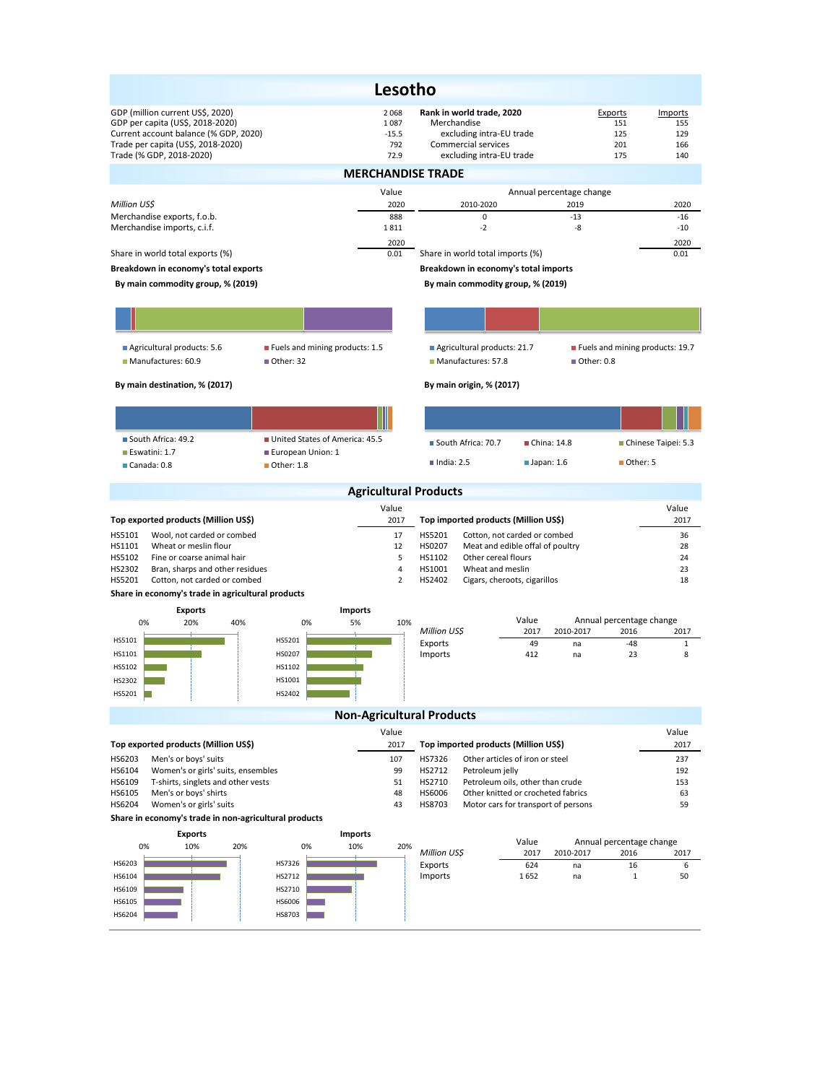|                                                                                                                                                                                 |                                             | Lesotho                                |                                                                                                                         |                                                                           |                                                                            |  |  |  |  |  |  |  |
|---------------------------------------------------------------------------------------------------------------------------------------------------------------------------------|---------------------------------------------|----------------------------------------|-------------------------------------------------------------------------------------------------------------------------|---------------------------------------------------------------------------|----------------------------------------------------------------------------|--|--|--|--|--|--|--|
| GDP (million current US\$, 2020)<br>GDP per capita (US\$, 2018-2020)<br>Current account balance (% GDP, 2020)<br>Trade per capita (US\$, 2018-2020)<br>Trade (% GDP, 2018-2020) |                                             | 2068<br>1087<br>$-15.5$<br>792<br>72.9 | Rank in world trade, 2020<br>Merchandise<br>excluding intra-EU trade<br>Commercial services<br>excluding intra-EU trade |                                                                           | Exports<br>Imports<br>151<br>155<br>125<br>129<br>201<br>166<br>175<br>140 |  |  |  |  |  |  |  |
| <b>MERCHANDISE TRADE</b>                                                                                                                                                        |                                             |                                        |                                                                                                                         |                                                                           |                                                                            |  |  |  |  |  |  |  |
|                                                                                                                                                                                 |                                             | Value                                  |                                                                                                                         | Annual percentage change                                                  |                                                                            |  |  |  |  |  |  |  |
| Million US\$<br>Merchandise exports, f.o.b.                                                                                                                                     |                                             | 2020<br>888                            | 2010-2020<br>$\mathbf 0$                                                                                                | 2019<br>$-13$                                                             | 2020<br>$-16$                                                              |  |  |  |  |  |  |  |
| Merchandise imports, c.i.f.                                                                                                                                                     |                                             | 1811                                   | $-2$                                                                                                                    | -8                                                                        | $-10$                                                                      |  |  |  |  |  |  |  |
| Share in world total exports (%)                                                                                                                                                |                                             | 2020<br>0.01                           | Share in world total imports (%)                                                                                        |                                                                           | 2020<br>0.01                                                               |  |  |  |  |  |  |  |
| Breakdown in economy's total exports                                                                                                                                            |                                             |                                        | Breakdown in economy's total imports                                                                                    |                                                                           |                                                                            |  |  |  |  |  |  |  |
| By main commodity group, % (2019)                                                                                                                                               |                                             |                                        | By main commodity group, % (2019)                                                                                       |                                                                           |                                                                            |  |  |  |  |  |  |  |
|                                                                                                                                                                                 |                                             |                                        |                                                                                                                         |                                                                           |                                                                            |  |  |  |  |  |  |  |
|                                                                                                                                                                                 |                                             |                                        |                                                                                                                         |                                                                           |                                                                            |  |  |  |  |  |  |  |
| Agricultural products: 5.6<br>Manufactures: 60.9                                                                                                                                | Fuels and mining products: 1.5<br>Other: 32 |                                        | Agricultural products: 21.7<br>Manufactures: 57.8                                                                       | ■ Other: 0.8                                                              | Fuels and mining products: 19.7                                            |  |  |  |  |  |  |  |
| By main destination, % (2017)                                                                                                                                                   |                                             |                                        | By main origin, % (2017)                                                                                                |                                                                           |                                                                            |  |  |  |  |  |  |  |
|                                                                                                                                                                                 |                                             |                                        |                                                                                                                         |                                                                           |                                                                            |  |  |  |  |  |  |  |
| South Africa: 49.2                                                                                                                                                              | United States of America: 45.5              |                                        | South Africa: 70.7                                                                                                      | ■ China: 14.8                                                             | Chinese Taipei: 5.3                                                        |  |  |  |  |  |  |  |
| Eswatini: 1.7<br>Canada: 0.8                                                                                                                                                    | European Union: 1<br>■ Other: 1.8           |                                        | $\blacksquare$ India: 2.5                                                                                               | $\blacksquare$ Japan: 1.6                                                 | Other: 5                                                                   |  |  |  |  |  |  |  |
|                                                                                                                                                                                 |                                             | <b>Agricultural Products</b>           |                                                                                                                         |                                                                           |                                                                            |  |  |  |  |  |  |  |
|                                                                                                                                                                                 |                                             | Value                                  |                                                                                                                         |                                                                           | Value                                                                      |  |  |  |  |  |  |  |
| Top exported products (Million US\$)                                                                                                                                            |                                             | 2017                                   | Top imported products (Million US\$)                                                                                    |                                                                           | 2017                                                                       |  |  |  |  |  |  |  |
| Wool, not carded or combed<br>HS5101<br>HS1101<br>Wheat or meslin flour                                                                                                         |                                             | 17<br>12                               | HS5201<br>HS0207                                                                                                        | Cotton, not carded or combed<br>Meat and edible offal of poultry          | 36<br>28                                                                   |  |  |  |  |  |  |  |
| HS5102<br>Fine or coarse animal hair<br>HS2302                                                                                                                                  |                                             | 5<br>4                                 | HS1102<br>Other cereal flours<br>Wheat and meslin                                                                       |                                                                           | 24                                                                         |  |  |  |  |  |  |  |
| Bran, sharps and other residues<br>HS5201<br>Cotton, not carded or combed                                                                                                       |                                             | 2                                      | HS1001<br>HS2402<br>Cigars, cheroots, cigarillos                                                                        |                                                                           | 23<br>18                                                                   |  |  |  |  |  |  |  |
| Share in economy's trade in agricultural products                                                                                                                               |                                             |                                        |                                                                                                                         |                                                                           |                                                                            |  |  |  |  |  |  |  |
| <b>Exports</b>                                                                                                                                                                  | <b>Imports</b>                              |                                        |                                                                                                                         |                                                                           |                                                                            |  |  |  |  |  |  |  |
| 0%<br>20%<br>40%                                                                                                                                                                | 0%<br>5%                                    | 10%                                    | Million US\$                                                                                                            | Value<br>2017<br>2010-2017                                                | Annual percentage change<br>2016<br>2017                                   |  |  |  |  |  |  |  |
| HS5101<br>HS1101                                                                                                                                                                | HS5201<br>HS0207                            |                                        | Exports<br>Imports                                                                                                      | 49<br>na<br>412<br>na                                                     | $-48$<br>$\mathbf{1}$<br>23<br>8                                           |  |  |  |  |  |  |  |
| HS5102                                                                                                                                                                          | HS1102                                      |                                        |                                                                                                                         |                                                                           |                                                                            |  |  |  |  |  |  |  |
| HS2302                                                                                                                                                                          | HS1001                                      |                                        |                                                                                                                         |                                                                           |                                                                            |  |  |  |  |  |  |  |
| HS5201                                                                                                                                                                          | HS2402                                      |                                        |                                                                                                                         |                                                                           |                                                                            |  |  |  |  |  |  |  |
|                                                                                                                                                                                 |                                             |                                        | <b>Non-Agricultural Products</b>                                                                                        |                                                                           |                                                                            |  |  |  |  |  |  |  |
|                                                                                                                                                                                 |                                             | Value                                  |                                                                                                                         |                                                                           | Value                                                                      |  |  |  |  |  |  |  |
| Top exported products (Million US\$)                                                                                                                                            |                                             | 2017                                   | Top imported products (Million US\$)                                                                                    |                                                                           | 2017                                                                       |  |  |  |  |  |  |  |
| HS6203<br>Men's or boys' suits<br>HS6104<br>Women's or girls' suits, ensembles                                                                                                  |                                             | 107<br>99                              | HS7326<br>HS2712<br>Petroleum jelly                                                                                     | Other articles of iron or steel                                           | 237<br>192                                                                 |  |  |  |  |  |  |  |
| HS6109<br>T-shirts, singlets and other vests                                                                                                                                    |                                             | 51                                     | HS2710                                                                                                                  | Petroleum oils, other than crude                                          | 153                                                                        |  |  |  |  |  |  |  |
| Men's or boys' shirts<br>HS6105<br>HS6204<br>Women's or girls' suits                                                                                                            |                                             | 48<br>43                               | HS6006<br>HS8703                                                                                                        | Other knitted or crocheted fabrics<br>Motor cars for transport of persons | 63<br>59                                                                   |  |  |  |  |  |  |  |
| Share in economy's trade in non-agricultural products                                                                                                                           |                                             |                                        |                                                                                                                         |                                                                           |                                                                            |  |  |  |  |  |  |  |
| <b>Exports</b>                                                                                                                                                                  | Imports                                     |                                        |                                                                                                                         |                                                                           |                                                                            |  |  |  |  |  |  |  |
| 0%<br>10%<br>20%                                                                                                                                                                | 0%<br>10%                                   | 20%                                    | Million US\$                                                                                                            | Value<br>2017<br>2010-2017                                                | Annual percentage change<br>2016<br>2017                                   |  |  |  |  |  |  |  |
| HS6203                                                                                                                                                                          | HS7326                                      |                                        | Exports                                                                                                                 | 624<br>na                                                                 | 16<br>6                                                                    |  |  |  |  |  |  |  |
| HS6104<br>HS6109                                                                                                                                                                | HS2712<br>HS2710                            |                                        | Imports                                                                                                                 | 1652<br>na                                                                | $\mathbf 1$<br>50                                                          |  |  |  |  |  |  |  |
| HS6105                                                                                                                                                                          | HS6006                                      |                                        |                                                                                                                         |                                                                           |                                                                            |  |  |  |  |  |  |  |
| HS6204                                                                                                                                                                          | HS8703                                      |                                        |                                                                                                                         |                                                                           |                                                                            |  |  |  |  |  |  |  |
|                                                                                                                                                                                 |                                             |                                        |                                                                                                                         |                                                                           |                                                                            |  |  |  |  |  |  |  |